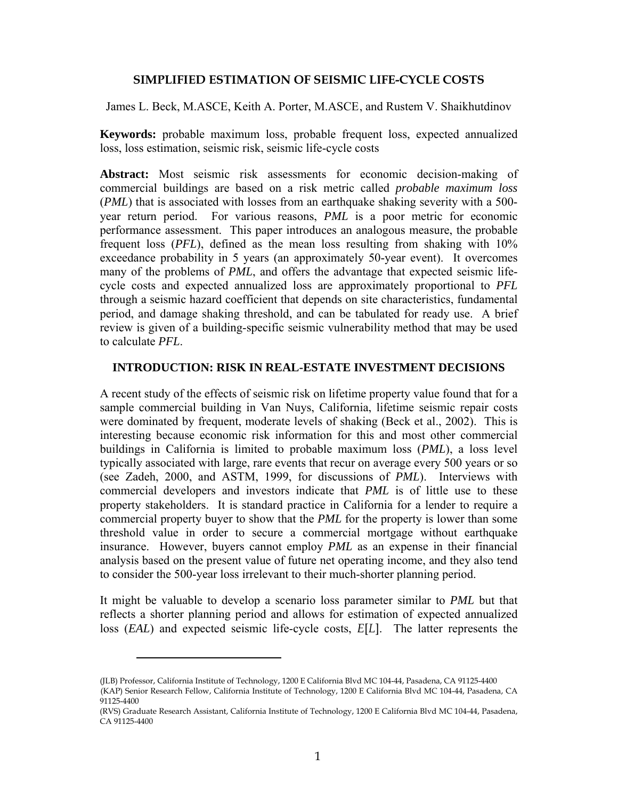## **SIMPLIFIED ESTIMATION OF SEISMIC LIFE-CYCLE COSTS**

James L. Beck, M.ASCE, Keith A. Porter, M.ASCE, and Rustem V. Shaikhutdinov

**Keywords:** probable maximum loss, probable frequent loss, expected annualized loss, loss estimation, seismic risk, seismic life-cycle costs

**Abstract:** Most seismic risk assessments for economic decision-making of commercial buildings are based on a risk metric called *probable maximum loss*  (*PML*) that is associated with losses from an earthquake shaking severity with a 500 year return period. For various reasons, *PML* is a poor metric for economic performance assessment. This paper introduces an analogous measure, the probable frequent loss (*PFL*), defined as the mean loss resulting from shaking with 10% exceedance probability in 5 years (an approximately 50-year event). It overcomes many of the problems of *PML*, and offers the advantage that expected seismic lifecycle costs and expected annualized loss are approximately proportional to *PFL* through a seismic hazard coefficient that depends on site characteristics, fundamental period, and damage shaking threshold, and can be tabulated for ready use. A brief review is given of a building-specific seismic vulnerability method that may be used to calculate *PFL*.

## **INTRODUCTION: RISK IN REAL-ESTATE INVESTMENT DECISIONS**

A recent study of the effects of seismic risk on lifetime property value found that for a sample commercial building in Van Nuys, California, lifetime seismic repair costs were dominated by frequent, moderate levels of shaking (Beck et al., 2002). This is interesting because economic risk information for this and most other commercial buildings in California is limited to probable maximum loss (*PML*), a loss level typically associated with large, rare events that recur on average every 500 years or so (see Zadeh, 2000, and ASTM, 1999, for discussions of *PML*). Interviews with commercial developers and investors indicate that *PML* is of little use to these property stakeholders. It is standard practice in California for a lender to require a commercial property buyer to show that the *PML* for the property is lower than some threshold value in order to secure a commercial mortgage without earthquake insurance. However, buyers cannot employ *PML* as an expense in their financial analysis based on the present value of future net operating income, and they also tend to consider the 500-year loss irrelevant to their much-shorter planning period.

It might be valuable to develop a scenario loss parameter similar to *PML* but that reflects a shorter planning period and allows for estimation of expected annualized loss (*EAL*) and expected seismic life-cycle costs, *E*[*L*]. The latter represents the

 $\overline{a}$ 

<sup>(</sup>JLB) Professor, California Institute of Technology, 1200 E California Blvd MC 104-44, Pasadena, CA 91125-4400 1(KAP) Senior Research Fellow, California Institute of Technology, 1200 E California Blvd MC 104-44, Pasadena, CA 91125-4400

<sup>(</sup>RVS) Graduate Research Assistant, California Institute of Technology, 1200 E California Blvd MC 104-44, Pasadena, CA 91125-4400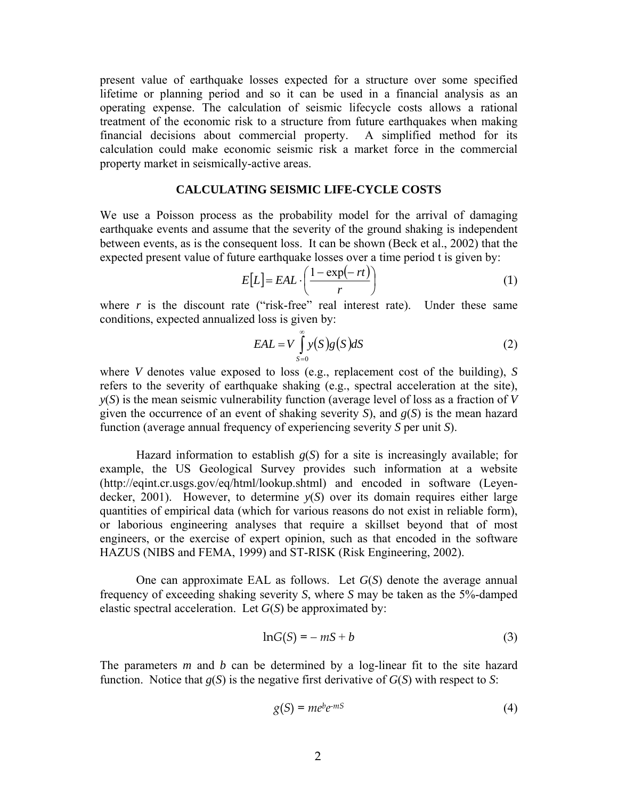present value of earthquake losses expected for a structure over some specified lifetime or planning period and so it can be used in a financial analysis as an operating expense. The calculation of seismic lifecycle costs allows a rational treatment of the economic risk to a structure from future earthquakes when making financial decisions about commercial property. A simplified method for its calculation could make economic seismic risk a market force in the commercial property market in seismically-active areas.

## **CALCULATING SEISMIC LIFE-CYCLE COSTS**

We use a Poisson process as the probability model for the arrival of damaging earthquake events and assume that the severity of the ground shaking is independent between events, as is the consequent loss. It can be shown (Beck et al., 2002) that the expected present value of future earthquake losses over a time period t is given by:

$$
E[L] = EAL \cdot \left(\frac{1 - \exp(-rt)}{r}\right) \tag{1}
$$

where  $r$  is the discount rate ("risk-free" real interest rate). Under these same conditions, expected annualized loss is given by:

$$
EAL = V \int_{S=0}^{\infty} y(S)g(S)dS
$$
 (2)

where *V* denotes value exposed to loss (e.g., replacement cost of the building), *S* refers to the severity of earthquake shaking (e.g., spectral acceleration at the site), *y*(*S*) is the mean seismic vulnerability function (average level of loss as a fraction of *V* given the occurrence of an event of shaking severity *S*), and *g*(*S*) is the mean hazard function (average annual frequency of experiencing severity *S* per unit *S*).

Hazard information to establish  $g(S)$  for a site is increasingly available; for example, the US Geological Survey provides such information at a website (http://eqint.cr.usgs.gov/eq/html/lookup.shtml) and encoded in software (Leyendecker, 2001). However, to determine *y*(*S*) over its domain requires either large quantities of empirical data (which for various reasons do not exist in reliable form), or laborious engineering analyses that require a skillset beyond that of most engineers, or the exercise of expert opinion, such as that encoded in the software HAZUS (NIBS and FEMA, 1999) and ST-RISK (Risk Engineering, 2002).

One can approximate EAL as follows. Let *G*(*S*) denote the average annual frequency of exceeding shaking severity *S*, where *S* may be taken as the 5%-damped elastic spectral acceleration. Let *G*(*S*) be approximated by:

$$
ln G(S) = -mS + b \tag{3}
$$

The parameters *m* and *b* can be determined by a log-linear fit to the site hazard function. Notice that  $g(S)$  is the negative first derivative of  $G(S)$  with respect to *S*:

$$
g(S) = me^{b}e^{-mS} \tag{4}
$$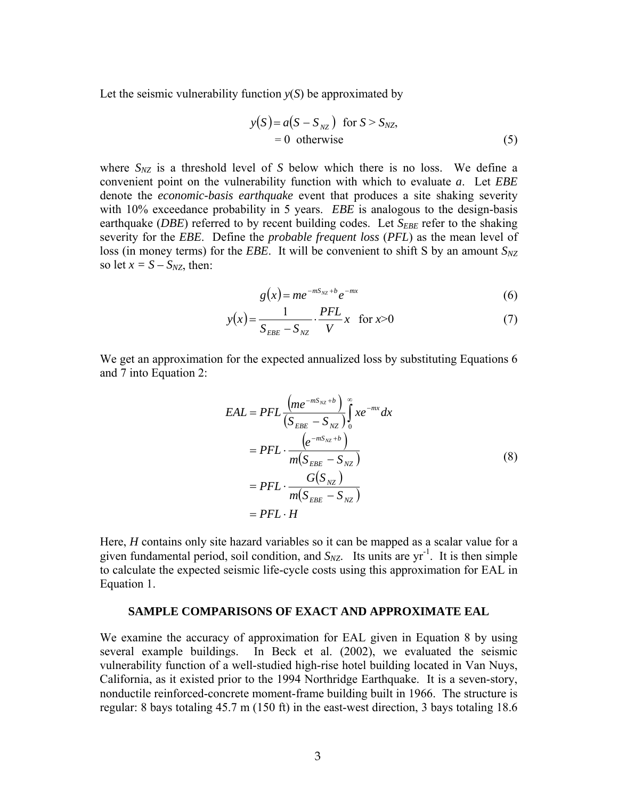Let the seismic vulnerability function  $y(S)$  be approximated by

$$
y(S) = a(S - S_{NZ}) \text{ for } S > S_{NZ},
$$
  
= 0 otherwise (5)

where  $S_{NZ}$  is a threshold level of *S* below which there is no loss. We define a convenient point on the vulnerability function with which to evaluate *a*. Let *EBE*  denote the *economic-basis earthquake* event that produces a site shaking severity with 10% exceedance probability in 5 years. *EBE* is analogous to the design-basis earthquake (*DBE*) referred to by recent building codes. Let *S<sub>EBE</sub>* refer to the shaking severity for the *EBE*. Define the *probable frequent loss* (*PFL*) as the mean level of loss (in money terms) for the *EBE*. It will be convenient to shift S by an amount  $S_{NZ}$ so let  $x = S - S_{NZ}$ , then:

$$
g(x) = me^{-mS_{NZ}+b}e^{-mx}
$$
\n
$$
(6)
$$

$$
y(x) = \frac{1}{S_{EBE} - S_{NZ}} \cdot \frac{PFL}{V} x \quad \text{for } x > 0
$$
 (7)

We get an approximation for the expected annualized loss by substituting Equations 6 and 7 into Equation 2:

$$
EAL = PFL \frac{\left( me^{-mS_{NZ}+b} \right)}{\left(S_{EBE} - S_{NZ} \right)} \int_{0}^{\infty} xe^{-mx} dx
$$
  
=  $PFL \cdot \frac{\left( e^{-mS_{NZ}+b} \right)}{m(S_{EBE} - S_{NZ})}$   
=  $PFL \cdot \frac{G(S_{NZ})}{m(S_{EBE} - S_{NZ})}$   
=  $PFL \cdot H$  (8)

Here, *H* contains only site hazard variables so it can be mapped as a scalar value for a given fundamental period, soil condition, and  $S_{NZ}$ . Its units are  $yr^{-1}$ . It is then simple to calculate the expected seismic life-cycle costs using this approximation for EAL in Equation 1.

#### **SAMPLE COMPARISONS OF EXACT AND APPROXIMATE EAL**

We examine the accuracy of approximation for EAL given in Equation 8 by using several example buildings. In Beck et al. (2002), we evaluated the seismic vulnerability function of a well-studied high-rise hotel building located in Van Nuys, California, as it existed prior to the 1994 Northridge Earthquake. It is a seven-story, nonductile reinforced-concrete moment-frame building built in 1966. The structure is regular: 8 bays totaling 45.7 m (150 ft) in the east-west direction, 3 bays totaling 18.6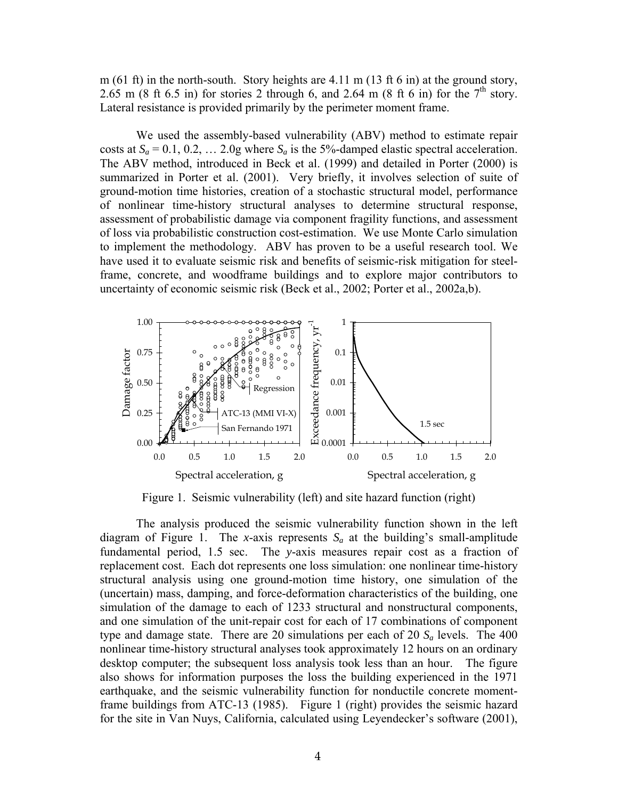m (61 ft) in the north-south. Story heights are 4.11 m (13 ft 6 in) at the ground story, 2.65 m (8 ft 6.5 in) for stories 2 through 6, and 2.64 m (8 ft 6 in) for the  $7<sup>th</sup>$  story. Lateral resistance is provided primarily by the perimeter moment frame.

We used the assembly-based vulnerability (ABV) method to estimate repair costs at  $S_a = 0.1, 0.2, \ldots 2.0$ g where  $S_a$  is the 5%-damped elastic spectral acceleration. The ABV method, introduced in Beck et al. (1999) and detailed in Porter (2000) is summarized in Porter et al. (2001). Very briefly, it involves selection of suite of ground-motion time histories, creation of a stochastic structural model, performance of nonlinear time-history structural analyses to determine structural response, assessment of probabilistic damage via component fragility functions, and assessment of loss via probabilistic construction cost-estimation. We use Monte Carlo simulation to implement the methodology. ABV has proven to be a useful research tool. We have used it to evaluate seismic risk and benefits of seismic-risk mitigation for steelframe, concrete, and woodframe buildings and to explore major contributors to uncertainty of economic seismic risk (Beck et al., 2002; Porter et al., 2002a,b).



Figure 1. Seismic vulnerability (left) and site hazard function (right)

The analysis produced the seismic vulnerability function shown in the left diagram of Figure 1. The *x*-axis represents  $S_a$  at the building's small-amplitude fundamental period, 1.5 sec. The *y*-axis measures repair cost as a fraction of replacement cost. Each dot represents one loss simulation: one nonlinear time-history structural analysis using one ground-motion time history, one simulation of the (uncertain) mass, damping, and force-deformation characteristics of the building, one simulation of the damage to each of 1233 structural and nonstructural components, and one simulation of the unit-repair cost for each of 17 combinations of component type and damage state. There are 20 simulations per each of 20 *Sa* levels. The 400 nonlinear time-history structural analyses took approximately 12 hours on an ordinary desktop computer; the subsequent loss analysis took less than an hour. The figure also shows for information purposes the loss the building experienced in the 1971 earthquake, and the seismic vulnerability function for nonductile concrete momentframe buildings from ATC-13 (1985). Figure 1 (right) provides the seismic hazard for the site in Van Nuys, California, calculated using Leyendecker's software (2001),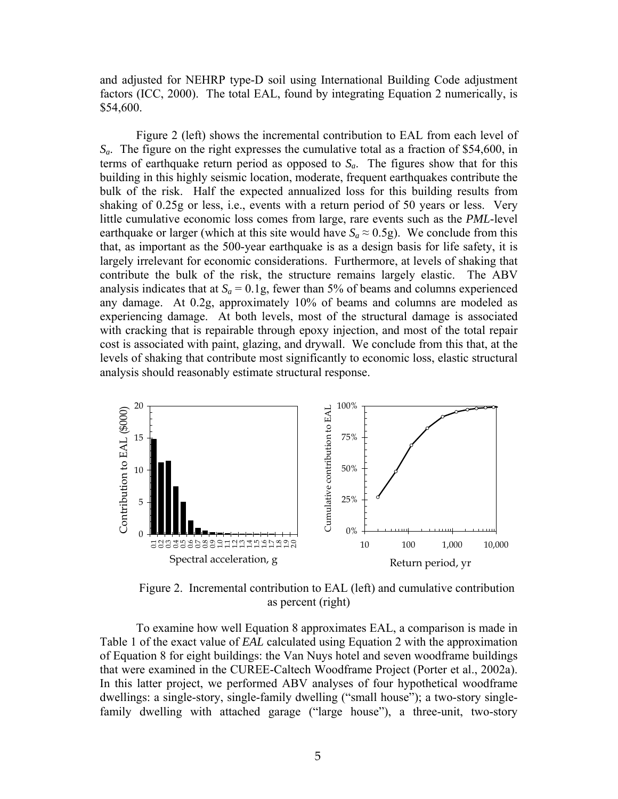and adjusted for NEHRP type-D soil using International Building Code adjustment factors (ICC, 2000). The total EAL, found by integrating Equation 2 numerically, is \$54,600.

Figure 2 (left) shows the incremental contribution to EAL from each level of *Sa*. The figure on the right expresses the cumulative total as a fraction of \$54,600, in terms of earthquake return period as opposed to  $S_a$ . The figures show that for this building in this highly seismic location, moderate, frequent earthquakes contribute the bulk of the risk. Half the expected annualized loss for this building results from shaking of 0.25g or less, i.e., events with a return period of 50 years or less. Very little cumulative economic loss comes from large, rare events such as the *PML*-level earthquake or larger (which at this site would have  $S_a \approx 0.5$ g). We conclude from this that, as important as the 500-year earthquake is as a design basis for life safety, it is largely irrelevant for economic considerations. Furthermore, at levels of shaking that contribute the bulk of the risk, the structure remains largely elastic. The ABV analysis indicates that at  $S_a = 0.1$ g, fewer than 5% of beams and columns experienced any damage. At 0.2g, approximately 10% of beams and columns are modeled as experiencing damage. At both levels, most of the structural damage is associated with cracking that is repairable through epoxy injection, and most of the total repair cost is associated with paint, glazing, and drywall. We conclude from this that, at the levels of shaking that contribute most significantly to economic loss, elastic structural analysis should reasonably estimate structural response.



Figure 2. Incremental contribution to EAL (left) and cumulative contribution as percent (right)

To examine how well Equation 8 approximates EAL, a comparison is made in Table 1 of the exact value of *EAL* calculated using Equation 2 with the approximation of Equation 8 for eight buildings: the Van Nuys hotel and seven woodframe buildings that were examined in the CUREE-Caltech Woodframe Project (Porter et al., 2002a). In this latter project, we performed ABV analyses of four hypothetical woodframe dwellings: a single-story, single-family dwelling ("small house"); a two-story singlefamily dwelling with attached garage ("large house"), a three-unit, two-story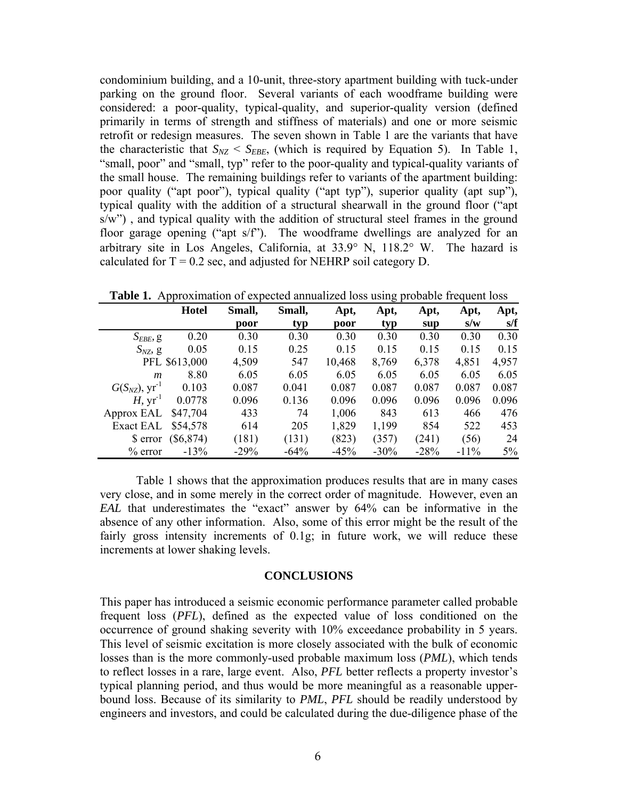condominium building, and a 10-unit, three-story apartment building with tuck-under parking on the ground floor. Several variants of each woodframe building were considered: a poor-quality, typical-quality, and superior-quality version (defined primarily in terms of strength and stiffness of materials) and one or more seismic retrofit or redesign measures. The seven shown in Table 1 are the variants that have the characteristic that  $S_{NZ} < S_{EBE}$ , (which is required by Equation 5). In Table 1, "small, poor" and "small, typ" refer to the poor-quality and typical-quality variants of the small house. The remaining buildings refer to variants of the apartment building: poor quality ("apt poor"), typical quality ("apt typ"), superior quality (apt sup"), typical quality with the addition of a structural shearwall in the ground floor ("apt s/w"), and typical quality with the addition of structural steel frames in the ground floor garage opening ("apt s/f"). The woodframe dwellings are analyzed for an arbitrary site in Los Angeles, California, at 33.9° N, 118.2° W. The hazard is calculated for  $T = 0.2$  sec, and adjusted for NEHRP soil category D.

|                                | <b>Hotel</b>  | Small, | Small, | Apt,   | Apt,   | Apt,   | Apt,    | Apt,  |
|--------------------------------|---------------|--------|--------|--------|--------|--------|---------|-------|
|                                |               | poor   | typ    | poor   | typ    | sup    | s/w     | s/f   |
| $S_{EBE}$ , g                  | 0.20          | 0.30   | 0.30   | 0.30   | 0.30   | 0.30   | 0.30    | 0.30  |
| $S_{NZ}$ g                     | 0.05          | 0.15   | 0.25   | 0.15   | 0.15   | 0.15   | 0.15    | 0.15  |
|                                | PFL \$613,000 | 4,509  | 547    | 10,468 | 8,769  | 6,378  | 4,851   | 4,957 |
| $\mathfrak{m}$                 | 8.80          | 6.05   | 6.05   | 6.05   | 6.05   | 6.05   | 6.05    | 6.05  |
| $G(S_{NZ})$ , yr <sup>-1</sup> | 0.103         | 0.087  | 0.041  | 0.087  | 0.087  | 0.087  | 0.087   | 0.087 |
| H, $yr^{-1}$                   | 0.0778        | 0.096  | 0.136  | 0.096  | 0.096  | 0.096  | 0.096   | 0.096 |
| Approx EAL                     | \$47,704      | 433    | 74     | 1,006  | 843    | 613    | 466     | 476   |
| Exact EAL                      | \$54,578      | 614    | 205    | 1,829  | 1,199  | 854    | 522     | 453   |
| \$ error                       | $(\$6,874)$   | (181)  | (131)  | (823)  | (357)  | (241)  | (56)    | 24    |
| $%$ error                      | $-13%$        | $-29%$ | $-64%$ | $-45%$ | $-30%$ | $-28%$ | $-11\%$ | $5\%$ |

**Table 1.** Approximation of expected annualized loss using probable frequent loss

Table 1 shows that the approximation produces results that are in many cases very close, and in some merely in the correct order of magnitude. However, even an *EAL* that underestimates the "exact" answer by 64% can be informative in the absence of any other information. Also, some of this error might be the result of the fairly gross intensity increments of 0.1g; in future work, we will reduce these increments at lower shaking levels.

#### **CONCLUSIONS**

This paper has introduced a seismic economic performance parameter called probable frequent loss (*PFL*), defined as the expected value of loss conditioned on the occurrence of ground shaking severity with 10% exceedance probability in 5 years. This level of seismic excitation is more closely associated with the bulk of economic losses than is the more commonly-used probable maximum loss (*PML*), which tends to reflect losses in a rare, large event. Also, *PFL* better reflects a property investor's typical planning period, and thus would be more meaningful as a reasonable upperbound loss. Because of its similarity to *PML*, *PFL* should be readily understood by engineers and investors, and could be calculated during the due-diligence phase of the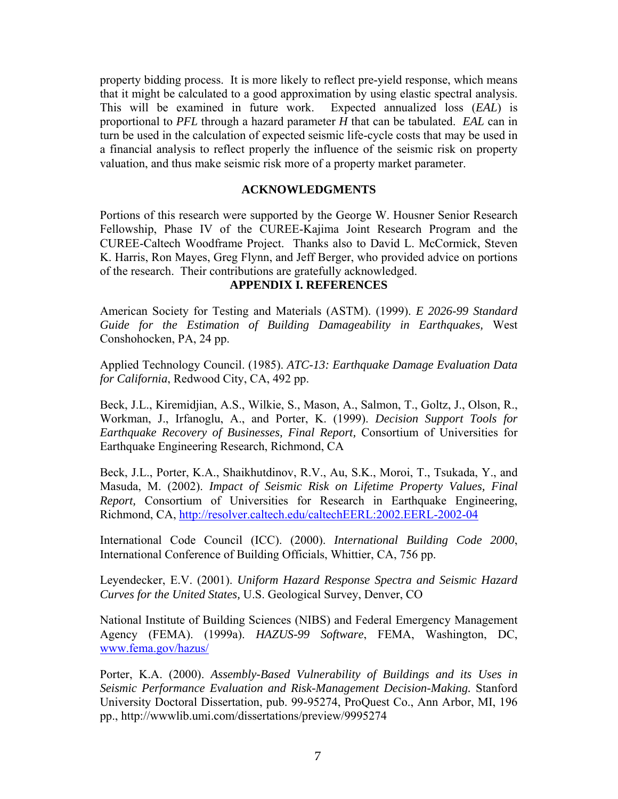property bidding process. It is more likely to reflect pre-yield response, which means that it might be calculated to a good approximation by using elastic spectral analysis. This will be examined in future work. Expected annualized loss (*EAL*) is proportional to *PFL* through a hazard parameter *H* that can be tabulated. *EAL* can in turn be used in the calculation of expected seismic life-cycle costs that may be used in a financial analysis to reflect properly the influence of the seismic risk on property valuation, and thus make seismic risk more of a property market parameter.

## **ACKNOWLEDGMENTS**

Portions of this research were supported by the George W. Housner Senior Research Fellowship, Phase IV of the CUREE-Kajima Joint Research Program and the CUREE-Caltech Woodframe Project. Thanks also to David L. McCormick, Steven K. Harris, Ron Mayes, Greg Flynn, and Jeff Berger, who provided advice on portions of the research. Their contributions are gratefully acknowledged.

## **APPENDIX I. REFERENCES**

American Society for Testing and Materials (ASTM). (1999). *E 2026-99 Standard Guide for the Estimation of Building Damageability in Earthquakes,* West Conshohocken, PA, 24 pp.

Applied Technology Council. (1985). *ATC-13: Earthquake Damage Evaluation Data for California*, Redwood City, CA, 492 pp.

Beck, J.L., Kiremidjian, A.S., Wilkie, S., Mason, A., Salmon, T., Goltz, J., Olson, R., Workman, J., Irfanoglu, A., and Porter, K. (1999). *Decision Support Tools for Earthquake Recovery of Businesses, Final Report,* Consortium of Universities for Earthquake Engineering Research, Richmond, CA

Beck, J.L., Porter, K.A., Shaikhutdinov, R.V., Au, S.K., Moroi, T., Tsukada, Y., and Masuda, M. (2002). *Impact of Seismic Risk on Lifetime Property Values, Final Report,* Consortium of Universities for Research in Earthquake Engineering, Richmond, CA, http://resolver.caltech.edu/caltechEERL:2002.EERL-2002-04

International Code Council (ICC). (2000). *International Building Code 2000*, International Conference of Building Officials, Whittier, CA, 756 pp.

Leyendecker, E.V. (2001). *Uniform Hazard Response Spectra and Seismic Hazard Curves for the United States,* U.S. Geological Survey, Denver, CO

National Institute of Building Sciences (NIBS) and Federal Emergency Management Agency (FEMA). (1999a). *HAZUS-99 Software*, FEMA, Washington, DC, www.fema.gov/hazus/

Porter, K.A. (2000). *Assembly-Based Vulnerability of Buildings and its Uses in Seismic Performance Evaluation and Risk-Management Decision-Making.* Stanford University Doctoral Dissertation, pub. 99-95274, ProQuest Co., Ann Arbor, MI, 196 pp., http://wwwlib.umi.com/dissertations/preview/9995274